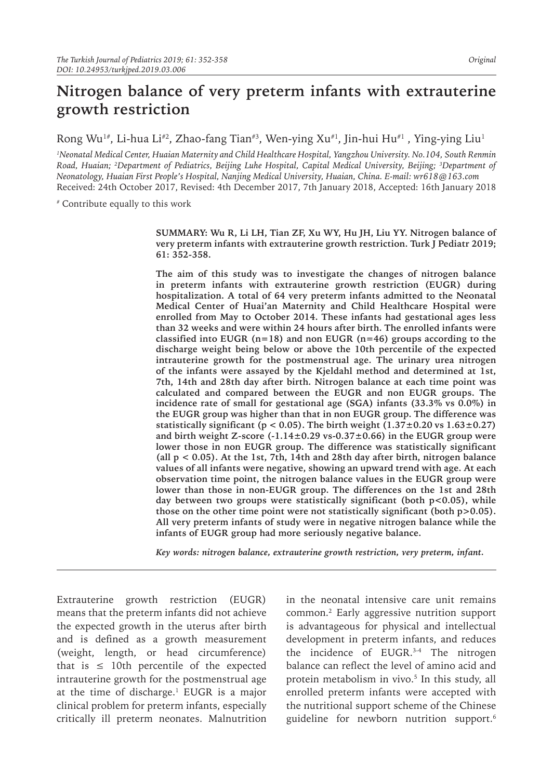# **Nitrogen balance of very preterm infants with extrauterine growth restriction**

Rong Wu<sup>1#</sup>, Li-hua Li<sup>#2</sup>, Zhao-fang Tian<sup>#3</sup>, Wen-ying Xu<sup>#1</sup>, Jin-hui Hu<sup>#1</sup>, Ying-ying Liu<sup>1</sup>

*1 Neonatal Medical Center, Huaian Maternity and Child Healthcare Hospital, Yangzhou University. No.104, South Renmin Road, Huaian; 2 Department of Pediatrics, Beijing Luhe Hospital, Capital Medical University, Beijing; 3 Department of Neonatology, Huaian First People's Hospital, Nanjing Medical University, Huaian, China. E-mail: wr618@163.com* Received: 24th October 2017, Revised: 4th December 2017, 7th January 2018, Accepted: 16th January 2018

# Contribute equally to this work

**SUMMARY: Wu R, Li LH, Tian ZF, Xu WY, Hu JH, Liu YY. Nitrogen balance of very preterm infants with extrauterine growth restriction. Turk J Pediatr 2019; 61: 352-358.**

**The aim of this study was to investigate the changes of nitrogen balance in preterm infants with extrauterine growth restriction (EUGR) during hospitalization. A total of 64 very preterm infants admitted to the Neonatal Medical Center of Huai'an Maternity and Child Healthcare Hospital were enrolled from May to October 2014. These infants had gestational ages less than 32 weeks and were within 24 hours after birth. The enrolled infants were classified into EUGR (n=18) and non EUGR (n=46) groups according to the discharge weight being below or above the 10th percentile of the expected intrauterine growth for the postmenstrual age. The urinary urea nitrogen of the infants were assayed by the Kjeldahl method and determined at 1st, 7th, 14th and 28th day after birth. Nitrogen balance at each time point was calculated and compared between the EUGR and non EUGR groups. The incidence rate of small for gestational age (SGA) infants (33.3% vs 0.0%) in the EUGR group was higher than that in non EUGR group. The difference was**  statistically significant ( $p < 0.05$ ). The birth weight  $(1.37\pm0.20 \text{ vs } 1.63\pm0.27)$ **and birth weight Z-score (-1.14±0.29 vs-0.37±0.66) in the EUGR group were lower those in non EUGR group. The difference was statistically significant (all p < 0.05). At the 1st, 7th, 14th and 28th day after birth, nitrogen balance values of all infants were negative, showing an upward trend with age. At each observation time point, the nitrogen balance values in the EUGR group were lower than those in non-EUGR group. The differences on the 1st and 28th day between two groups were statistically significant (both p<0.05), while those on the other time point were not statistically significant (both p>0.05). All very preterm infants of study were in negative nitrogen balance while the infants of EUGR group had more seriously negative balance.** 

*Key words: nitrogen balance, extrauterine growth restriction, very preterm, infant.*

Extrauterine growth restriction (EUGR) means that the preterm infants did not achieve the expected growth in the uterus after birth and is defined as a growth measurement (weight, length, or head circumference) that is  $\leq 10$ th percentile of the expected intrauterine growth for the postmenstrual age at the time of discharge. $^1$  EUGR is a major clinical problem for preterm infants, especially critically ill preterm neonates. Malnutrition

in the neonatal intensive care unit remains common.2 Early aggressive nutrition support is advantageous for physical and intellectual development in preterm infants, and reduces the incidence of EUGR.3-4 The nitrogen balance can reflect the level of amino acid and protein metabolism in vivo.<sup>5</sup> In this study, all enrolled preterm infants were accepted with the nutritional support scheme of the Chinese guideline for newborn nutrition support.6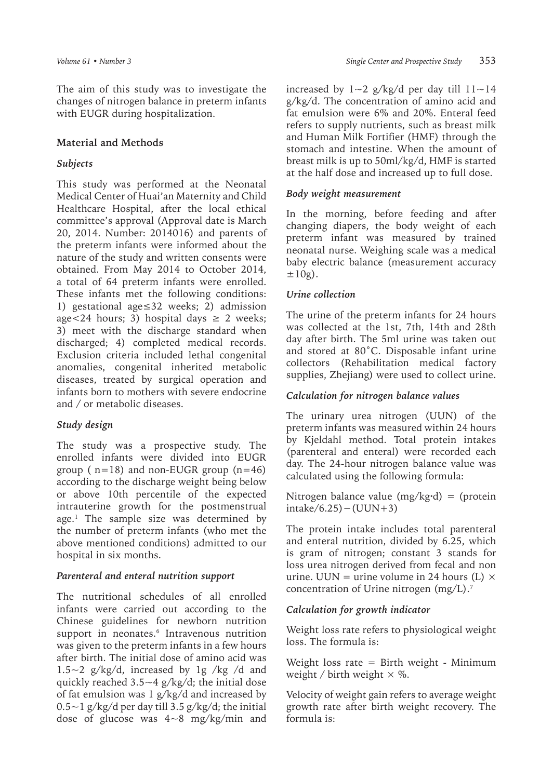The aim of this study was to investigate the changes of nitrogen balance in preterm infants with EUGR during hospitalization.

#### **Material and Methods**

#### *Subjects*

This study was performed at the Neonatal Medical Center of Huai'an Maternity and Child Healthcare Hospital, after the local ethical committee's approval (Approval date is March 20, 2014. Number: 2014016) and parents of the preterm infants were informed about the nature of the study and written consents were obtained. From May 2014 to October 2014, a total of 64 preterm infants were enrolled. These infants met the following conditions: 1) gestational age≤32 weeks; 2) admission age < 24 hours; 3) hospital days  $\geq 2$  weeks; 3) meet with the discharge standard when discharged; 4) completed medical records. Exclusion criteria included lethal congenital anomalies, congenital inherited metabolic diseases, treated by surgical operation and infants born to mothers with severe endocrine and / or metabolic diseases.

#### *Study design*

The study was a prospective study. The enrolled infants were divided into EUGR group ( $n=18$ ) and non-EUGR group ( $n=46$ ) according to the discharge weight being below or above 10th percentile of the expected intrauterine growth for the postmenstrual age.1 The sample size was determined by the number of preterm infants (who met the above mentioned conditions) admitted to our hospital in six months.

#### *Parenteral and enteral nutrition support*

The nutritional schedules of all enrolled infants were carried out according to the Chinese guidelines for newborn nutrition support in neonates.<sup>6</sup> Intravenous nutrition was given to the preterm infants in a few hours after birth. The initial dose of amino acid was  $1.5~2$  g/kg/d, increased by 1g /kg /d and quickly reached  $3.5~-4$  g/kg/d; the initial dose of fat emulsion was 1 g/kg/d and increased by  $0.5 \sim 1$  g/kg/d per day till 3.5 g/kg/d; the initial dose of glucose was 4~8 mg/kg/min and

increased by  $1 \sim 2$  g/kg/d per day till  $11 \sim 14$ g/kg/d. The concentration of amino acid and fat emulsion were 6% and 20%. Enteral feed refers to supply nutrients, such as breast milk and Human Milk Fortifier (HMF) through the stomach and intestine. When the amount of breast milk is up to 50ml/kg/d, HMF is started at the half dose and increased up to full dose.

#### *Body weight measurement*

In the morning, before feeding and after changing diapers, the body weight of each preterm infant was measured by trained neonatal nurse. Weighing scale was a medical baby electric balance (measurement accuracy  $\pm 10$ g).

#### *Urine collection*

The urine of the preterm infants for 24 hours was collected at the 1st, 7th, 14th and 28th day after birth. The 5ml urine was taken out and stored at 80˚C. Disposable infant urine collectors (Rehabilitation medical factory supplies, Zhejiang) were used to collect urine.

#### *Calculation for nitrogen balance values*

The urinary urea nitrogen (UUN) of the preterm infants was measured within 24 hours by Kjeldahl method. Total protein intakes (parenteral and enteral) were recorded each day. The 24-hour nitrogen balance value was calculated using the following formula:

Nitrogen balance value  $(mg/kg \cdot d) = (protein$ intake/6.25)−(UUN+3)

The protein intake includes total parenteral and enteral nutrition, divided by 6.25, which is gram of nitrogen; constant 3 stands for loss urea nitrogen derived from fecal and non urine. UUN = urine volume in 24 hours (L)  $\times$ concentration of Urine nitrogen (mg/L).7

#### *Calculation for growth indicator*

Weight loss rate refers to physiological weight loss. The formula is:

Weight loss rate = Birth weight - Minimum weight / birth weight  $\times$  %.

Velocity of weight gain refers to average weight growth rate after birth weight recovery. The formula is: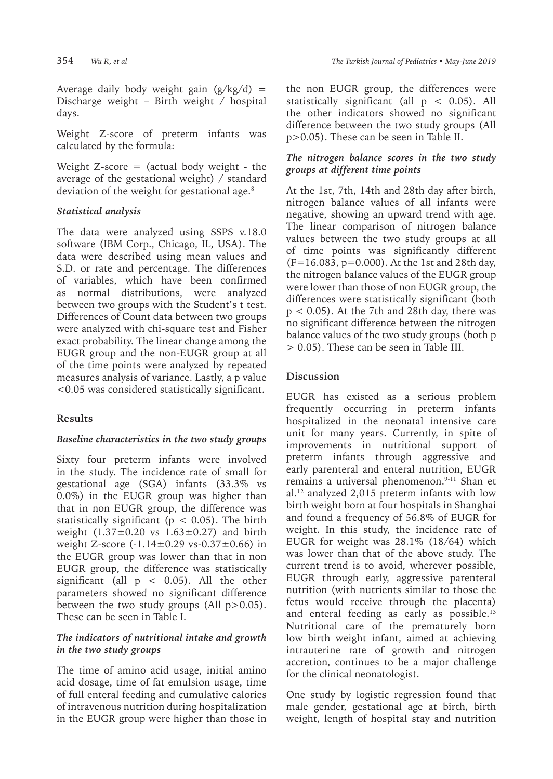Average daily body weight gain  $(g/kg/d)$  = Discharge weight – Birth weight / hospital days.

Weight Z-score of preterm infants was calculated by the formula:

Weight  $Z$ -score = (actual body weight - the average of the gestational weight) / standard deviation of the weight for gestational age.<sup>8</sup>

## *Statistical analysis*

The data were analyzed using SSPS v.18.0 software (IBM Corp., Chicago, IL, USA). The data were described using mean values and S.D. or rate and percentage. The differences of variables, which have been confirmed as normal distributions, were analyzed between two groups with the Student's t test. Differences of Count data between two groups were analyzed with chi-square test and Fisher exact probability. The linear change among the EUGR group and the non-EUGR group at all of the time points were analyzed by repeated measures analysis of variance. Lastly, a p value <0.05 was considered statistically significant.

# **Results**

#### *Baseline characteristics in the two study groups*

Sixty four preterm infants were involved in the study. The incidence rate of small for gestational age (SGA) infants (33.3% vs 0.0%) in the EUGR group was higher than that in non EUGR group, the difference was statistically significant ( $p < 0.05$ ). The birth weight  $(1.37 \pm 0.20 \text{ vs } 1.63 \pm 0.27)$  and birth weight Z-score  $(-1.14 \pm 0.29 \text{ vs-}0.37 \pm 0.66)$  in the EUGR group was lower than that in non EUGR group, the difference was statistically significant (all  $p < 0.05$ ). All the other parameters showed no significant difference between the two study groups (All  $p > 0.05$ ). These can be seen in Table I.

#### *The indicators of nutritional intake and growth in the two study groups*

The time of amino acid usage, initial amino acid dosage, time of fat emulsion usage, time of full enteral feeding and cumulative calories of intravenous nutrition during hospitalization in the EUGR group were higher than those in

the non EUGR group, the differences were statistically significant (all  $p < 0.05$ ). All the other indicators showed no significant difference between the two study groups (All p>0.05). These can be seen in Table II.

#### *The nitrogen balance scores in the two study groups at different time points*

At the 1st, 7th, 14th and 28th day after birth, nitrogen balance values of all infants were negative, showing an upward trend with age. The linear comparison of nitrogen balance values between the two study groups at all of time points was significantly different (F=16.083, p=0.000). At the 1st and 28th day, the nitrogen balance values of the EUGR group were lower than those of non EUGR group, the differences were statistically significant (both p < 0.05). At the 7th and 28th day, there was no significant difference between the nitrogen balance values of the two study groups (both p > 0.05). These can be seen in Table III.

## **Discussion**

EUGR has existed as a serious problem frequently occurring in preterm infants hospitalized in the neonatal intensive care unit for many years. Currently, in spite of improvements in nutritional support of preterm infants through aggressive and early parenteral and enteral nutrition, EUGR remains a universal phenomenon.9-11 Shan et al.12 analyzed 2,015 preterm infants with low birth weight born at four hospitals in Shanghai and found a frequency of 56.8% of EUGR for weight. In this study, the incidence rate of EUGR for weight was 28.1% (18/64) which was lower than that of the above study. The current trend is to avoid, wherever possible, EUGR through early, aggressive parenteral nutrition (with nutrients similar to those the fetus would receive through the placenta) and enteral feeding as early as possible.<sup>13</sup> Nutritional care of the prematurely born low birth weight infant, aimed at achieving intrauterine rate of growth and nitrogen accretion, continues to be a major challenge for the clinical neonatologist.

One study by logistic regression found that male gender, gestational age at birth, birth weight, length of hospital stay and nutrition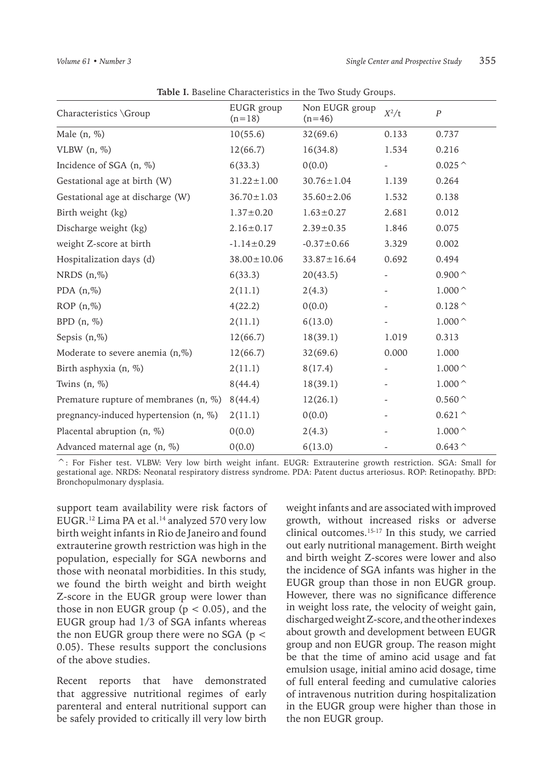| <b>Table 1.</b> Daschille Characteristics in the TWO Study Groups. |                        |                            |         |                                   |  |  |  |  |  |
|--------------------------------------------------------------------|------------------------|----------------------------|---------|-----------------------------------|--|--|--|--|--|
| Characteristics \Group                                             | EUGR group<br>$(n=18)$ | Non EUGR group<br>$(n=46)$ | $X^2/t$ | $\boldsymbol{P}$                  |  |  |  |  |  |
| Male $(n, %)$                                                      | 10(55.6)               | 32(69.6)                   | 0.133   | 0.737                             |  |  |  |  |  |
| VLBW $(n, \%)$                                                     | 12(66.7)               | 16(34.8)                   | 1.534   | 0.216                             |  |  |  |  |  |
| Incidence of SGA (n, %)                                            | 6(33.3)                | 0(0.0)                     |         | $0.025^{\,\wedge}$                |  |  |  |  |  |
| Gestational age at birth (W)                                       | $31.22 \pm 1.00$       | $30.76 \pm 1.04$           | 1.139   | 0.264                             |  |  |  |  |  |
| Gestational age at discharge (W)                                   | $36.70 \pm 1.03$       | $35.60 \pm 2.06$           | 1.532   | 0.138                             |  |  |  |  |  |
| Birth weight (kg)                                                  | $1.37 \pm 0.20$        | $1.63 \pm 0.27$            | 2.681   | 0.012                             |  |  |  |  |  |
| Discharge weight (kg)                                              | $2.16 \pm 0.17$        | $2.39 \pm 0.35$            | 1.846   | 0.075                             |  |  |  |  |  |
| weight Z-score at birth                                            | $-1.14 \pm 0.29$       | $-0.37 \pm 0.66$           | 3.329   | 0.002                             |  |  |  |  |  |
| Hospitalization days (d)                                           | $38.00 \pm 10.06$      | $33.87 \pm 16.64$          | 0.692   | 0.494                             |  |  |  |  |  |
| NRDS $(n, %)$                                                      | 6(33.3)                | 20(43.5)                   |         | 0.900 $\hat{}$                    |  |  |  |  |  |
| PDA $(n, %)$                                                       | 2(11.1)                | 2(4.3)                     |         | $1.000\,{}^{\wedge}$              |  |  |  |  |  |
| ROP(n, %)                                                          | 4(22.2)                | 0(0.0)                     |         | 0.128 $\hat{}$                    |  |  |  |  |  |
| BPD $(n, \%)$                                                      | 2(11.1)                | 6(13.0)                    |         | $1.000\,\mathrm{^{\small\frown}}$ |  |  |  |  |  |
| Sepsis $(n, %)$                                                    | 12(66.7)               | 18(39.1)                   | 1.019   | 0.313                             |  |  |  |  |  |
| Moderate to severe anemia (n,%)                                    | 12(66.7)               | 32(69.6)                   | 0.000   | 1.000                             |  |  |  |  |  |
| Birth asphyxia (n, %)                                              | 2(11.1)                | 8(17.4)                    |         | $1.000^{\,\wedge}\,$              |  |  |  |  |  |
| Twins $(n, %)$                                                     | 8(44.4)                | 18(39.1)                   |         | $1.000\,{}^{\wedge}$              |  |  |  |  |  |
| Premature rupture of membranes (n, %)                              | 8(44.4)                | 12(26.1)                   |         | $0.560^{\,\wedge}$                |  |  |  |  |  |
| pregnancy-induced hypertension (n, %)                              | 2(11.1)                | 0(0.0)                     |         | $0.621^{\,\wedge}$                |  |  |  |  |  |
| Placental abruption (n, %)                                         | 0(0.0)                 | 2(4.3)                     |         | $1.000\,{}^{\wedge}$              |  |  |  |  |  |
| Advanced maternal age (n, %)                                       | 0(0.0)                 | 6(13.0)                    |         | 0.643 $\hat{}$                    |  |  |  |  |  |

**Table I.** Baseline Characteristics in the Two Study Groups.

^: For Fisher test. VLBW: Very low birth weight infant. EUGR: Extrauterine growth restriction. SGA: Small for gestational age. NRDS: Neonatal respiratory distress syndrome. PDA: Patent ductus arteriosus. ROP: Retinopathy. BPD: Bronchopulmonary dysplasia.

support team availability were risk factors of EUGR.<sup>12</sup> Lima PA et al.<sup>14</sup> analyzed 570 very low birth weight infants in Rio de Janeiro and found extrauterine growth restriction was high in the population, especially for SGA newborns and those with neonatal morbidities. In this study, we found the birth weight and birth weight Z-score in the EUGR group were lower than those in non EUGR group ( $p < 0.05$ ), and the EUGR group had 1/3 of SGA infants whereas the non EUGR group there were no SGA ( $p <$ 0.05). These results support the conclusions of the above studies.

Recent reports that have demonstrated that aggressive nutritional regimes of early parenteral and enteral nutritional support can be safely provided to critically ill very low birth

weight infants and are associated with improved growth, without increased risks or adverse clinical outcomes.15-17 In this study, we carried out early nutritional management. Birth weight and birth weight Z-scores were lower and also the incidence of SGA infants was higher in the EUGR group than those in non EUGR group. However, there was no significance difference in weight loss rate, the velocity of weight gain, discharged weight Z-score, and the other indexes about growth and development between EUGR group and non EUGR group. The reason might be that the time of amino acid usage and fat emulsion usage, initial amino acid dosage, time of full enteral feeding and cumulative calories of intravenous nutrition during hospitalization in the EUGR group were higher than those in the non EUGR group.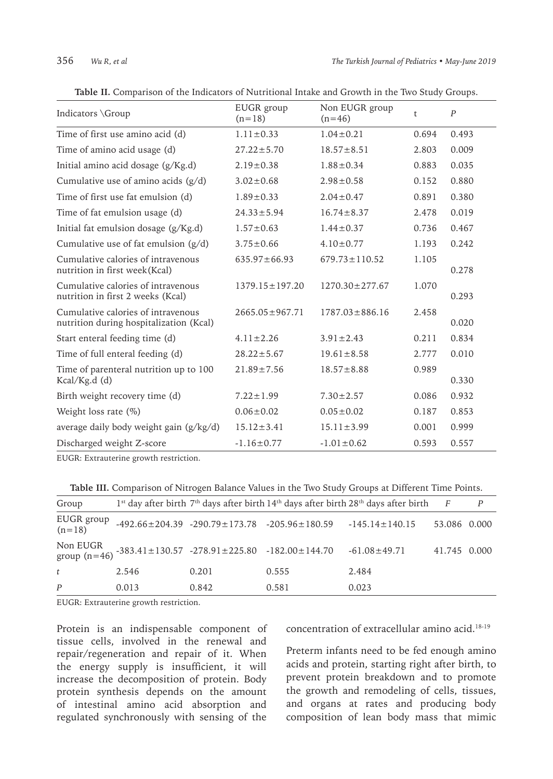| Indicators \Group                                                             | EUGR group<br>$(n=18)$ | Non EUGR group<br>$(n=46)$ | t     | P     |
|-------------------------------------------------------------------------------|------------------------|----------------------------|-------|-------|
| Time of first use amino acid (d)                                              | $1.11 \pm 0.33$        | $1.04 \pm 0.21$            | 0.694 | 0.493 |
| Time of amino acid usage (d)                                                  | $27.22 \pm 5.70$       | $18.57 \pm 8.51$           | 2.803 | 0.009 |
| Initial amino acid dosage (g/Kg.d)                                            | $2.19 \pm 0.38$        | $1.88 \pm 0.34$            | 0.883 | 0.035 |
| Cumulative use of amino acids (g/d)                                           | $3.02 \pm 0.68$        | $2.98 \pm 0.58$            | 0.152 | 0.880 |
| Time of first use fat emulsion (d)                                            | $1.89 \pm 0.33$        | $2.04 \pm 0.47$            | 0.891 | 0.380 |
| Time of fat emulsion usage (d)                                                | $24.33 \pm 5.94$       | $16.74 \pm 8.37$           | 2.478 | 0.019 |
| Initial fat emulsion dosage (g/Kg.d)                                          | $1.57 \pm 0.63$        | $1.44 \pm 0.37$            | 0.736 | 0.467 |
| Cumulative use of fat emulsion $(g/d)$                                        | $3.75 \pm 0.66$        | $4.10 \pm 0.77$            | 1.193 | 0.242 |
| Cumulative calories of intravenous<br>nutrition in first week(Kcal)           | $635.97 \pm 66.93$     | $679.73 \pm 110.52$        | 1.105 | 0.278 |
| Cumulative calories of intravenous<br>nutrition in first 2 weeks (Kcal)       | $1379.15 \pm 197.20$   | $1270.30 \pm 277.67$       | 1.070 | 0.293 |
| Cumulative calories of intravenous<br>nutrition during hospitalization (Kcal) | $2665.05 \pm 967.71$   | $1787.03 \pm 886.16$       | 2.458 | 0.020 |
| Start enteral feeding time (d)                                                | $4.11 \pm 2.26$        | $3.91 \pm 2.43$            | 0.211 | 0.834 |
| Time of full enteral feeding (d)                                              | $28.22 \pm 5.67$       | $19.61 \pm 8.58$           | 2.777 | 0.010 |
| Time of parenteral nutrition up to 100<br>$Kcal/Kg.d$ (d)                     | $21.89 \pm 7.56$       | $18.57 \pm 8.88$           | 0.989 | 0.330 |
| Birth weight recovery time (d)                                                | $7.22 \pm 1.99$        | $7.30 \pm 2.57$            | 0.086 | 0.932 |
| Weight loss rate $(\%)$                                                       | $0.06 \pm 0.02$        | $0.05 \pm 0.02$            | 0.187 | 0.853 |
| average daily body weight gain (g/kg/d)                                       | $15.12 \pm 3.41$       | $15.11 \pm 3.99$           | 0.001 | 0.999 |
| Discharged weight Z-score                                                     | $-1.16 \pm 0.77$       | $-1.01 \pm 0.62$           | 0.593 | 0.557 |

**Table II.** Comparison of the Indicators of Nutritional Intake and Growth in the Two Study Groups.

EUGR: Extrauterine growth restriction.

**Table III.** Comparison of Nitrogen Balance Values in the Two Study Groups at Different Time Points.

| Group                  |       |                                                                       |                                                                | 1 <sup>st</sup> day after birth 7 <sup>th</sup> days after birth 14 <sup>th</sup> days after birth 28 <sup>th</sup> days after birth | $\overline{F}$ | P |
|------------------------|-------|-----------------------------------------------------------------------|----------------------------------------------------------------|--------------------------------------------------------------------------------------------------------------------------------------|----------------|---|
| EUGR group<br>$(n=18)$ |       |                                                                       | $-492.66 \pm 204.39$ $-290.79 \pm 173.78$ $-205.96 \pm 180.59$ | $-145.14 \pm 140.15$                                                                                                                 | 53.086 0.000   |   |
|                        |       | Non EUGR<br>group (n=46) -383.41±130.57 -278.91±225.80 -182.00±144.70 |                                                                | $-61.08 \pm 49.71$                                                                                                                   | 41.745 0.000   |   |
| t                      | 2.546 | 0.201                                                                 | 0.555                                                          | 2.484                                                                                                                                |                |   |
| P                      | 0.013 | 0.842                                                                 | 0.581                                                          | 0.023                                                                                                                                |                |   |

EUGR: Extrauterine growth restriction.

Protein is an indispensable component of tissue cells, involved in the renewal and repair/regeneration and repair of it. When the energy supply is insufficient, it will increase the decomposition of protein. Body protein synthesis depends on the amount of intestinal amino acid absorption and regulated synchronously with sensing of the

concentration of extracellular amino acid.18-19

Preterm infants need to be fed enough amino acids and protein, starting right after birth, to prevent protein breakdown and to promote the growth and remodeling of cells, tissues, and organs at rates and producing body composition of lean body mass that mimic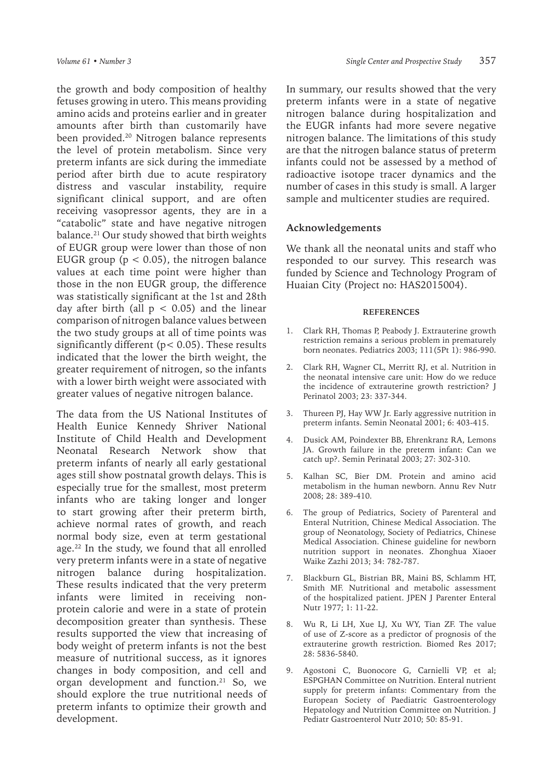the growth and body composition of healthy fetuses growing in utero. This means providing amino acids and proteins earlier and in greater amounts after birth than customarily have been provided.<sup>20</sup> Nitrogen balance represents the level of protein metabolism. Since very preterm infants are sick during the immediate period after birth due to acute respiratory distress and vascular instability, require significant clinical support, and are often receiving vasopressor agents, they are in a "catabolic" state and have negative nitrogen balance.21 Our study showed that birth weights of EUGR group were lower than those of non EUGR group ( $p < 0.05$ ), the nitrogen balance values at each time point were higher than those in the non EUGR group, the difference was statistically significant at the 1st and 28th day after birth (all  $p < 0.05$ ) and the linear comparison of nitrogen balance values between the two study groups at all of time points was significantly different ( $p < 0.05$ ). These results indicated that the lower the birth weight, the greater requirement of nitrogen, so the infants with a lower birth weight were associated with greater values of negative nitrogen balance.

The data from the US National Institutes of Health Eunice Kennedy Shriver National Institute of Child Health and Development Neonatal Research Network show that preterm infants of nearly all early gestational ages still show postnatal growth delays. This is especially true for the smallest, most preterm infants who are taking longer and longer to start growing after their preterm birth, achieve normal rates of growth, and reach normal body size, even at term gestational age.<sup>22</sup> In the study, we found that all enrolled very preterm infants were in a state of negative nitrogen balance during hospitalization. These results indicated that the very preterm infants were limited in receiving nonprotein calorie and were in a state of protein decomposition greater than synthesis. These results supported the view that increasing of body weight of preterm infants is not the best measure of nutritional success, as it ignores changes in body composition, and cell and organ development and function.<sup>21</sup> So, we should explore the true nutritional needs of preterm infants to optimize their growth and development.

In summary, our results showed that the very preterm infants were in a state of negative nitrogen balance during hospitalization and the EUGR infants had more severe negative nitrogen balance. The limitations of this study are that the nitrogen balance status of preterm infants could not be assessed by a method of radioactive isotope tracer dynamics and the number of cases in this study is small. A larger sample and multicenter studies are required.

#### **Acknowledgements**

We thank all the neonatal units and staff who responded to our survey. This research was funded by Science and Technology Program of Huaian City (Project no: HAS2015004).

#### **REFERENCES**

- 1. Clark RH, Thomas P, Peabody J. Extrauterine growth restriction remains a serious problem in prematurely born neonates. Pediatrics 2003; 111(5Pt 1): 986-990.
- 2. Clark RH, Wagner CL, Merritt RJ, et al. Nutrition in the neonatal intensive care unit: How do we reduce the incidence of extrauterine growth restriction? J Perinatol 2003; 23: 337-344.
- 3. Thureen PJ, Hay WW Jr. Early aggressive nutrition in preterm infants. Semin Neonatal 2001; 6: 403-415.
- 4. Dusick AM, Poindexter BB, Ehrenkranz RA, Lemons JA. Growth failure in the preterm infant: Can we catch up?. Semin Perinatal 2003; 27: 302-310.
- 5. Kalhan SC, Bier DM. Protein and amino acid metabolism in the human newborn. Annu Rev Nutr 2008; 28: 389-410.
- 6. The group of Pediatrics, Society of Parenteral and Enteral Nutrition, Chinese Medical Association. The group of Neonatology, Society of Pediatrics, Chinese Medical Association. Chinese guideline for newborn nutrition support in neonates. Zhonghua Xiaoer Waike Zazhi 2013; 34: 782-787.
- 7. Blackburn GL, Bistrian BR, Maini BS, Schlamm HT, Smith MF. Nutritional and metabolic assessment of the hospitalized patient. JPEN J Parenter Enteral Nutr 1977; 1: 11-22.
- 8. Wu R, Li LH, Xue LJ, Xu WY, Tian ZF. The value of use of Z-score as a predictor of prognosis of the extrauterine growth restriction. Biomed Res 2017; 28: 5836-5840.
- 9. Agostoni C, Buonocore G, Carnielli VP, et al; ESPGHAN Committee on Nutrition. Enteral nutrient supply for preterm infants: Commentary from the European Society of Paediatric Gastroenterology Hepatology and Nutrition Committee on Nutrition. J Pediatr Gastroenterol Nutr 2010; 50: 85-91.